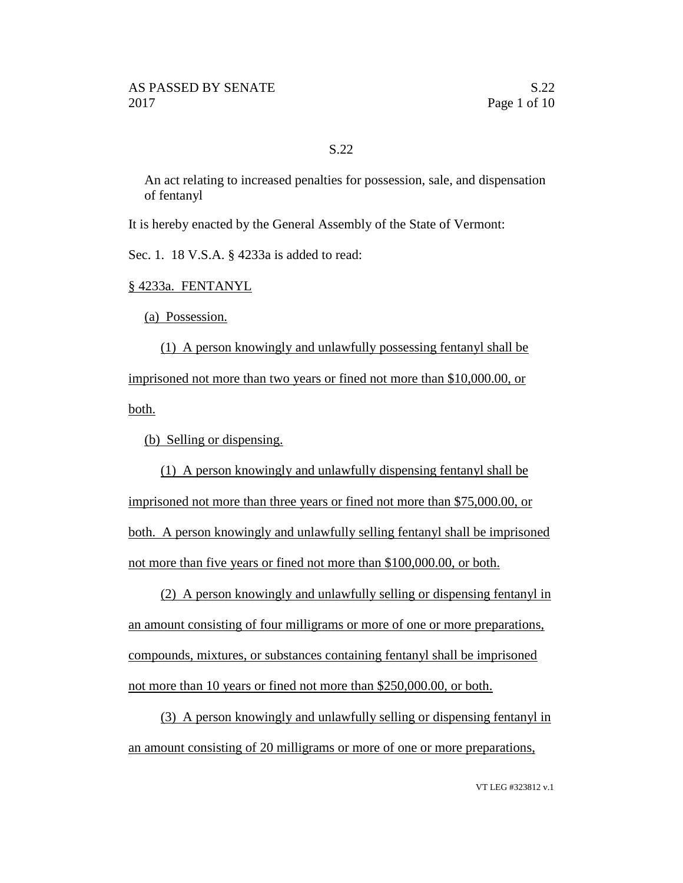## S.22

An act relating to increased penalties for possession, sale, and dispensation of fentanyl

It is hereby enacted by the General Assembly of the State of Vermont:

Sec. 1. 18 V.S.A. § 4233a is added to read:

§ 4233a. FENTANYL

(a) Possession.

(1) A person knowingly and unlawfully possessing fentanyl shall be imprisoned not more than two years or fined not more than \$10,000.00, or both.

(b) Selling or dispensing.

(1) A person knowingly and unlawfully dispensing fentanyl shall be imprisoned not more than three years or fined not more than \$75,000.00, or both. A person knowingly and unlawfully selling fentanyl shall be imprisoned not more than five years or fined not more than \$100,000.00, or both.

(2) A person knowingly and unlawfully selling or dispensing fentanyl in an amount consisting of four milligrams or more of one or more preparations, compounds, mixtures, or substances containing fentanyl shall be imprisoned not more than 10 years or fined not more than \$250,000.00, or both.

(3) A person knowingly and unlawfully selling or dispensing fentanyl in an amount consisting of 20 milligrams or more of one or more preparations,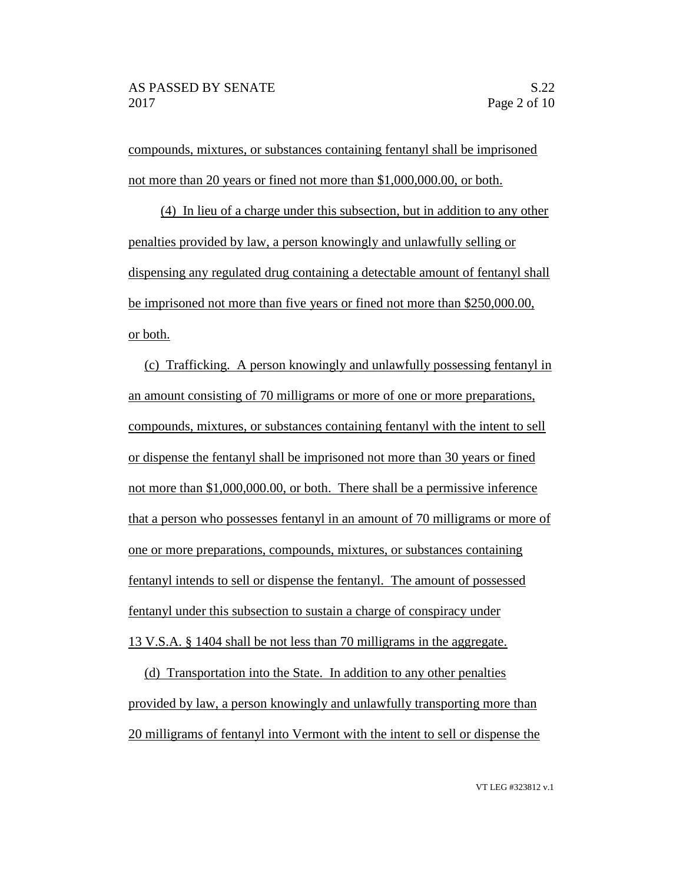compounds, mixtures, or substances containing fentanyl shall be imprisoned not more than 20 years or fined not more than \$1,000,000.00, or both.

(4) In lieu of a charge under this subsection, but in addition to any other penalties provided by law, a person knowingly and unlawfully selling or dispensing any regulated drug containing a detectable amount of fentanyl shall be imprisoned not more than five years or fined not more than \$250,000.00, or both.

(c) Trafficking. A person knowingly and unlawfully possessing fentanyl in an amount consisting of 70 milligrams or more of one or more preparations, compounds, mixtures, or substances containing fentanyl with the intent to sell or dispense the fentanyl shall be imprisoned not more than 30 years or fined not more than \$1,000,000.00, or both. There shall be a permissive inference that a person who possesses fentanyl in an amount of 70 milligrams or more of one or more preparations, compounds, mixtures, or substances containing fentanyl intends to sell or dispense the fentanyl. The amount of possessed fentanyl under this subsection to sustain a charge of conspiracy under 13 V.S.A. § 1404 shall be not less than 70 milligrams in the aggregate.

(d) Transportation into the State. In addition to any other penalties provided by law, a person knowingly and unlawfully transporting more than 20 milligrams of fentanyl into Vermont with the intent to sell or dispense the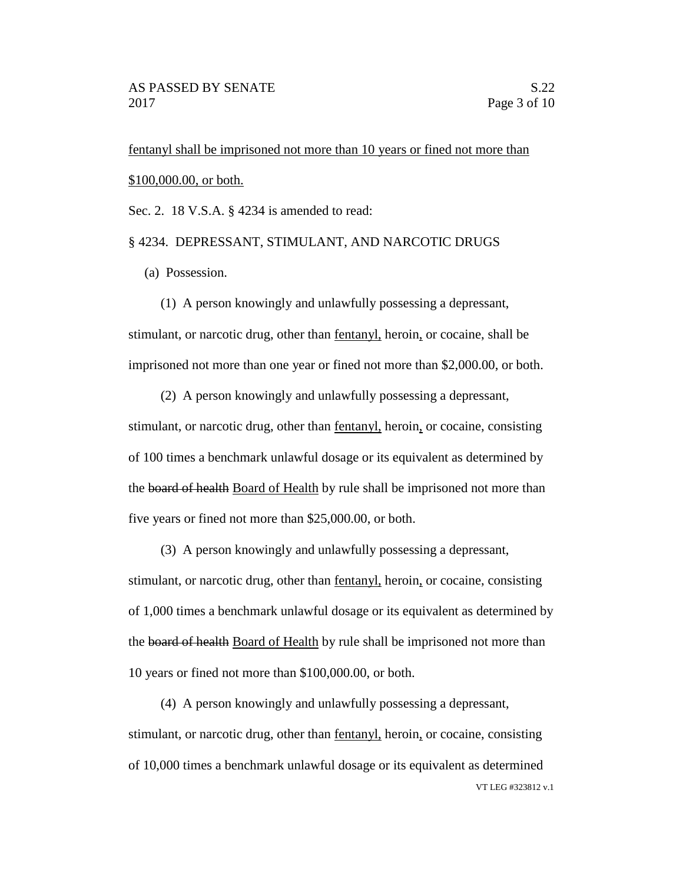fentanyl shall be imprisoned not more than 10 years or fined not more than \$100,000.00, or both.

Sec. 2. 18 V.S.A. § 4234 is amended to read:

## § 4234. DEPRESSANT, STIMULANT, AND NARCOTIC DRUGS

(a) Possession.

(1) A person knowingly and unlawfully possessing a depressant, stimulant, or narcotic drug, other than fentanyl, heroin, or cocaine, shall be imprisoned not more than one year or fined not more than \$2,000.00, or both.

(2) A person knowingly and unlawfully possessing a depressant,

stimulant, or narcotic drug, other than fentanyl, heroin, or cocaine, consisting of 100 times a benchmark unlawful dosage or its equivalent as determined by the board of health Board of Health by rule shall be imprisoned not more than five years or fined not more than \$25,000.00, or both.

(3) A person knowingly and unlawfully possessing a depressant, stimulant, or narcotic drug, other than fentanyl, heroin, or cocaine, consisting of 1,000 times a benchmark unlawful dosage or its equivalent as determined by the board of health Board of Health by rule shall be imprisoned not more than 10 years or fined not more than \$100,000.00, or both.

VT LEG #323812 v.1 (4) A person knowingly and unlawfully possessing a depressant, stimulant, or narcotic drug, other than fentanyl, heroin, or cocaine, consisting of 10,000 times a benchmark unlawful dosage or its equivalent as determined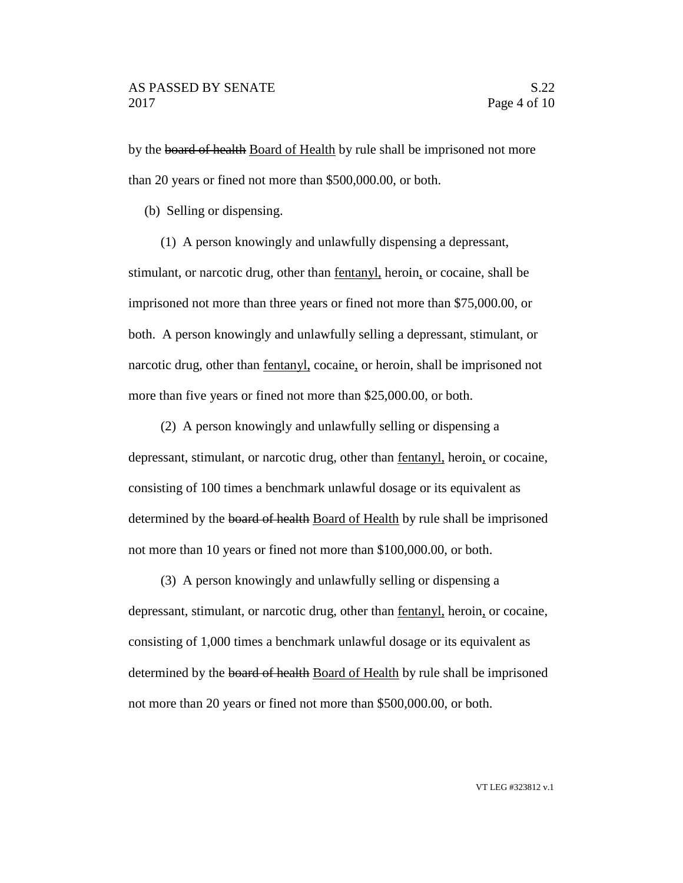by the board of health Board of Health by rule shall be imprisoned not more than 20 years or fined not more than \$500,000.00, or both.

(b) Selling or dispensing.

(1) A person knowingly and unlawfully dispensing a depressant,

stimulant, or narcotic drug, other than fentanyl, heroin, or cocaine, shall be imprisoned not more than three years or fined not more than \$75,000.00, or both. A person knowingly and unlawfully selling a depressant, stimulant, or narcotic drug, other than fentanyl, cocaine, or heroin, shall be imprisoned not more than five years or fined not more than \$25,000.00, or both.

(2) A person knowingly and unlawfully selling or dispensing a depressant, stimulant, or narcotic drug, other than fentanyl, heroin, or cocaine, consisting of 100 times a benchmark unlawful dosage or its equivalent as determined by the board of health Board of Health by rule shall be imprisoned not more than 10 years or fined not more than \$100,000.00, or both.

(3) A person knowingly and unlawfully selling or dispensing a depressant, stimulant, or narcotic drug, other than fentanyl, heroin, or cocaine, consisting of 1,000 times a benchmark unlawful dosage or its equivalent as determined by the board of health Board of Health by rule shall be imprisoned not more than 20 years or fined not more than \$500,000.00, or both.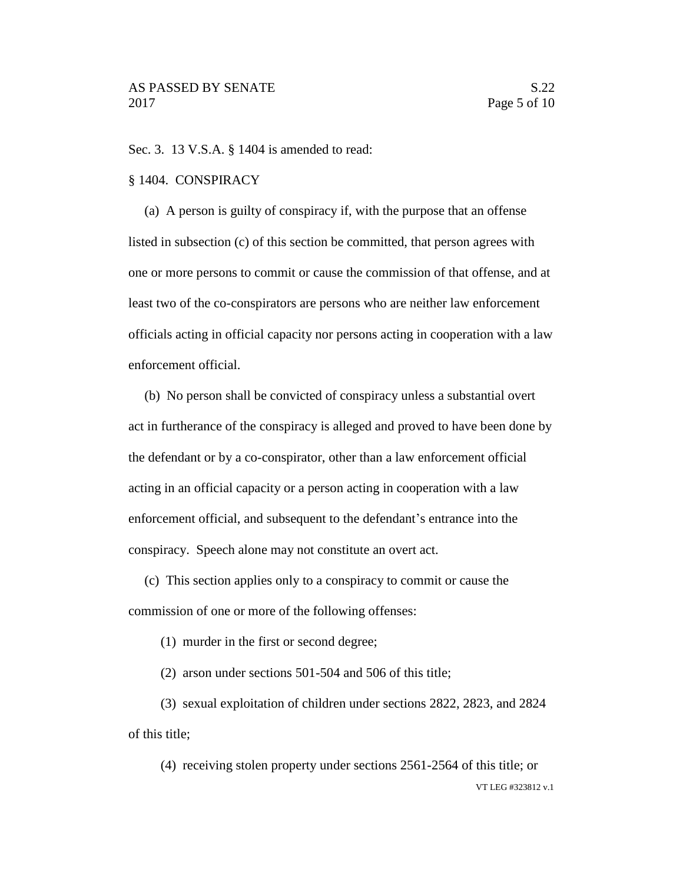Sec. 3. 13 V.S.A. § 1404 is amended to read:

#### § 1404. CONSPIRACY

(a) A person is guilty of conspiracy if, with the purpose that an offense listed in subsection (c) of this section be committed, that person agrees with one or more persons to commit or cause the commission of that offense, and at least two of the co-conspirators are persons who are neither law enforcement officials acting in official capacity nor persons acting in cooperation with a law enforcement official.

(b) No person shall be convicted of conspiracy unless a substantial overt act in furtherance of the conspiracy is alleged and proved to have been done by the defendant or by a co-conspirator, other than a law enforcement official acting in an official capacity or a person acting in cooperation with a law enforcement official, and subsequent to the defendant's entrance into the conspiracy. Speech alone may not constitute an overt act.

(c) This section applies only to a conspiracy to commit or cause the commission of one or more of the following offenses:

(1) murder in the first or second degree;

(2) arson under sections 501-504 and 506 of this title;

(3) sexual exploitation of children under sections 2822, 2823, and 2824 of this title;

VT LEG #323812 v.1 (4) receiving stolen property under sections 2561-2564 of this title; or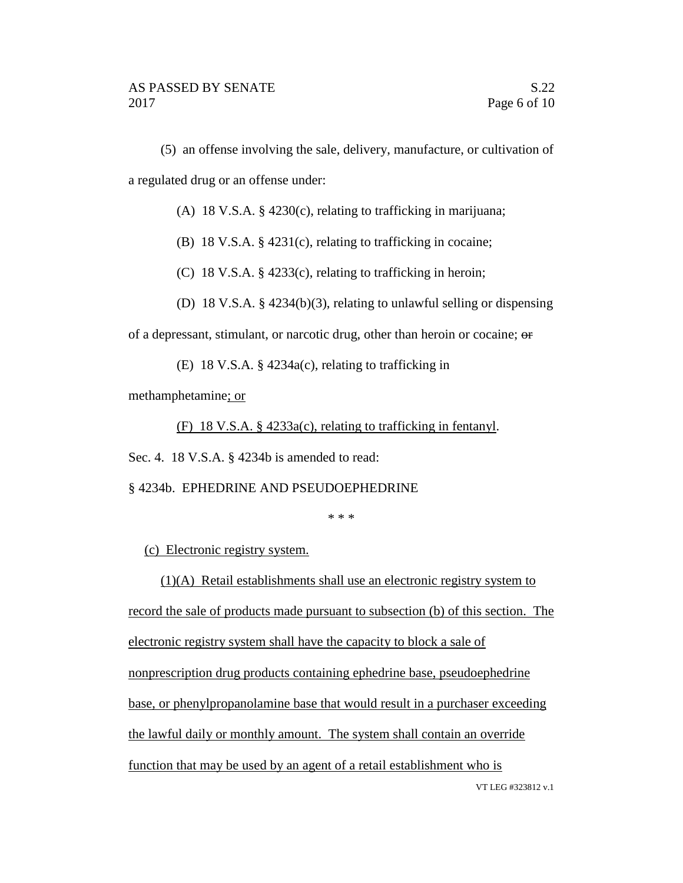(5) an offense involving the sale, delivery, manufacture, or cultivation of a regulated drug or an offense under:

(A) 18 V.S.A. § 4230(c), relating to trafficking in marijuana;

(B) 18 V.S.A. § 4231(c), relating to trafficking in cocaine;

(C) 18 V.S.A. § 4233(c), relating to trafficking in heroin;

(D) 18 V.S.A. § 4234(b)(3), relating to unlawful selling or dispensing

of a depressant, stimulant, or narcotic drug, other than heroin or cocaine; or

(E) 18 V.S.A. § 4234a(c), relating to trafficking in

methamphetamine; or

(F) 18 V.S.A. § 4233a(c), relating to trafficking in fentanyl.

Sec. 4. 18 V.S.A. § 4234b is amended to read:

### § 4234b. EPHEDRINE AND PSEUDOEPHEDRINE

\* \* \*

(c) Electronic registry system.

(1)(A) Retail establishments shall use an electronic registry system to

record the sale of products made pursuant to subsection (b) of this section. The

electronic registry system shall have the capacity to block a sale of

nonprescription drug products containing ephedrine base, pseudoephedrine

base, or phenylpropanolamine base that would result in a purchaser exceeding

the lawful daily or monthly amount. The system shall contain an override

function that may be used by an agent of a retail establishment who is

VT LEG #323812 v.1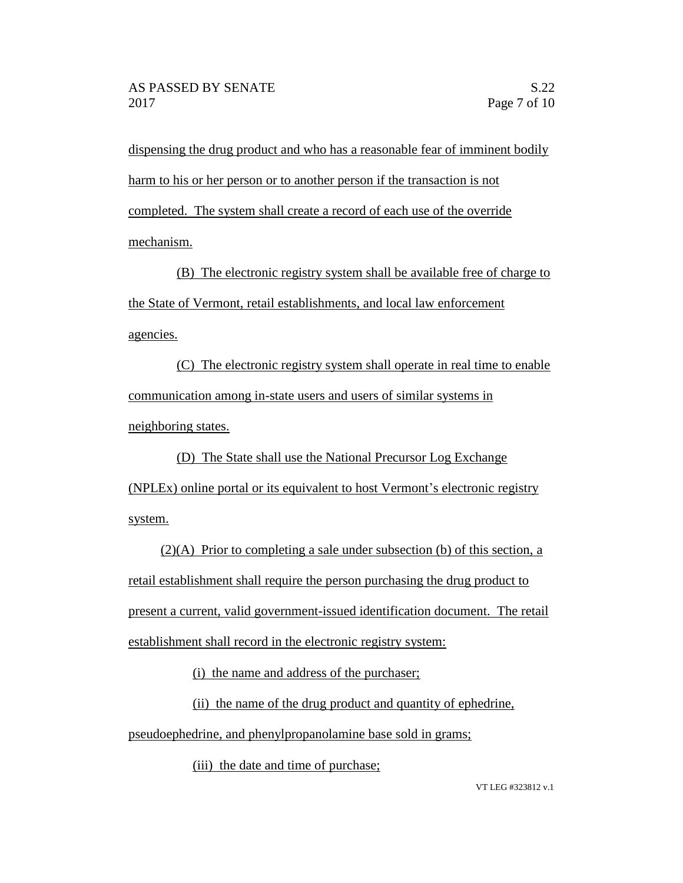dispensing the drug product and who has a reasonable fear of imminent bodily harm to his or her person or to another person if the transaction is not completed. The system shall create a record of each use of the override mechanism.

(B) The electronic registry system shall be available free of charge to the State of Vermont, retail establishments, and local law enforcement agencies.

(C) The electronic registry system shall operate in real time to enable communication among in-state users and users of similar systems in neighboring states.

(D) The State shall use the National Precursor Log Exchange (NPLEx) online portal or its equivalent to host Vermont's electronic registry system.

(2)(A) Prior to completing a sale under subsection (b) of this section, a retail establishment shall require the person purchasing the drug product to present a current, valid government-issued identification document. The retail establishment shall record in the electronic registry system:

(i) the name and address of the purchaser;

(ii) the name of the drug product and quantity of ephedrine, pseudoephedrine, and phenylpropanolamine base sold in grams;

(iii) the date and time of purchase;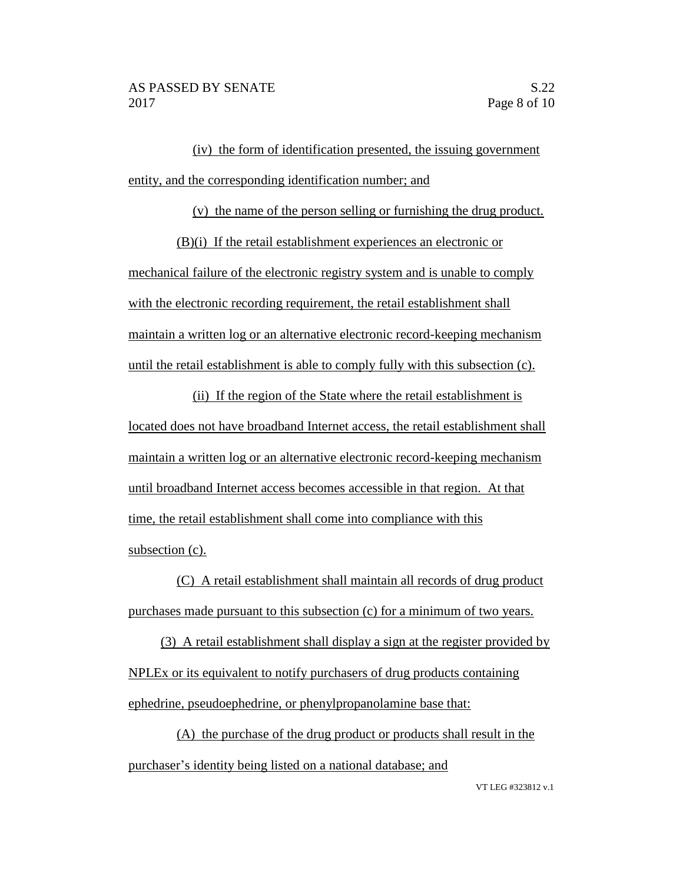(iv) the form of identification presented, the issuing government entity, and the corresponding identification number; and

(v) the name of the person selling or furnishing the drug product.

(B)(i) If the retail establishment experiences an electronic or mechanical failure of the electronic registry system and is unable to comply with the electronic recording requirement, the retail establishment shall maintain a written log or an alternative electronic record-keeping mechanism until the retail establishment is able to comply fully with this subsection (c).

(ii) If the region of the State where the retail establishment is located does not have broadband Internet access, the retail establishment shall maintain a written log or an alternative electronic record-keeping mechanism until broadband Internet access becomes accessible in that region. At that time, the retail establishment shall come into compliance with this subsection (c).

(C) A retail establishment shall maintain all records of drug product purchases made pursuant to this subsection (c) for a minimum of two years.

(3) A retail establishment shall display a sign at the register provided by NPLEx or its equivalent to notify purchasers of drug products containing ephedrine, pseudoephedrine, or phenylpropanolamine base that:

(A) the purchase of the drug product or products shall result in the purchaser's identity being listed on a national database; and

VT LEG #323812 v.1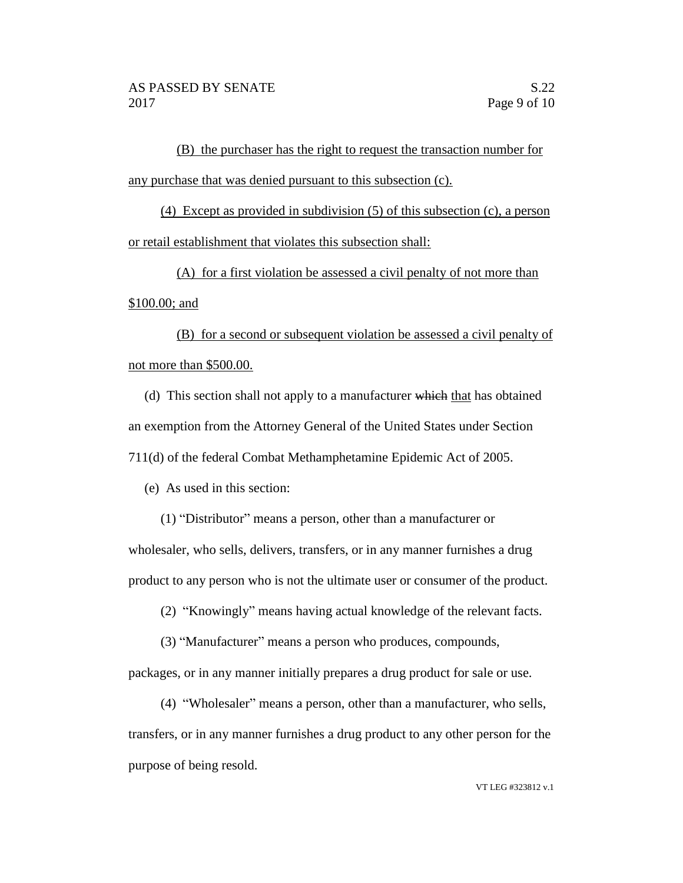(B) the purchaser has the right to request the transaction number for any purchase that was denied pursuant to this subsection (c).

(4) Except as provided in subdivision (5) of this subsection (c), a person or retail establishment that violates this subsection shall:

(A) for a first violation be assessed a civil penalty of not more than \$100.00; and

(B) for a second or subsequent violation be assessed a civil penalty of not more than \$500.00.

(d) This section shall not apply to a manufacturer which that has obtained an exemption from the Attorney General of the United States under Section 711(d) of the federal Combat Methamphetamine Epidemic Act of 2005.

(e) As used in this section:

(1) "Distributor" means a person, other than a manufacturer or wholesaler, who sells, delivers, transfers, or in any manner furnishes a drug product to any person who is not the ultimate user or consumer of the product.

(2) "Knowingly" means having actual knowledge of the relevant facts.

(3) "Manufacturer" means a person who produces, compounds,

packages, or in any manner initially prepares a drug product for sale or use.

(4) "Wholesaler" means a person, other than a manufacturer, who sells, transfers, or in any manner furnishes a drug product to any other person for the purpose of being resold.